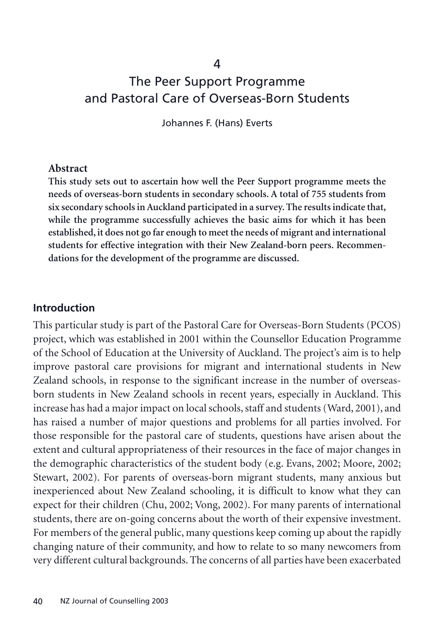4

# The Peer Support Programme and Pastoral Care of Overseas-Born Students

Johannes F. (Hans) Everts

#### **Abstract**

**This study sets out to ascertain how well the Peer Support programme meets the needs of overseas-born students in secondary schools. A total of 755 students from six secondary schools in Auckland participated in a survey. The results indicate that, while the programme successfully achieves the basic aims for which it has been established, it does not go far enough to meet the needs of migrant and international students for effective integration with their New Zealand-born peers. Recommendations for the development of the programme are discussed.**

#### **Introduction**

This particular study is part of the Pastoral Care for Overseas-Born Students (PCOS) project, which was established in 2001 within the Counsellor Education Programme of the School of Education at the University of Auckland. The project's aim is to help improve pastoral care provisions for migrant and international students in New Zealand schools, in response to the significant increase in the number of overseasborn students in New Zealand schools in recent years, especially in Auckland. This increase has had a major impact on local schools, staff and students (Ward, 2001), and has raised a number of major questions and problems for all parties involved. For those responsible for the pastoral care of students, questions have arisen about the extent and cultural appropriateness of their resources in the face of major changes in the demographic characteristics of the student body (e.g. Evans, 2002; Moore, 2002; Stewart, 2002). For parents of overseas-born migrant students, many anxious but inexperienced about New Zealand schooling, it is difficult to know what they can expect for their children (Chu, 2002; Vong, 2002). For many parents of international students, there are on-going concerns about the worth of their expensive investment. For members of the general public, many questions keep coming up about the rapidly changing nature of their community, and how to relate to so many newcomers from very different cultural backgrounds. The concerns of all parties have been exacerbated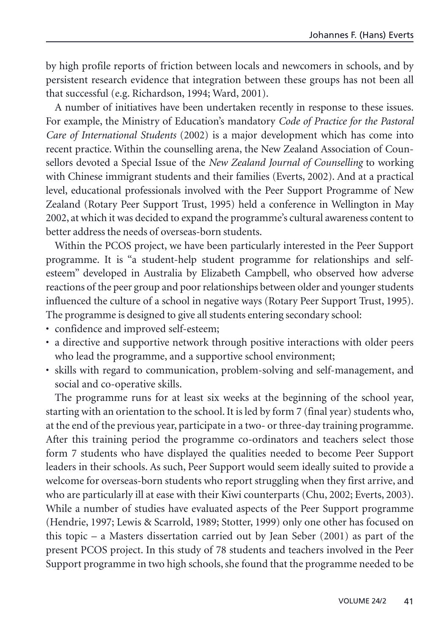by high profile reports of friction between locals and newcomers in schools, and by persistent research evidence that integration between these groups has not been all that successful (e.g. Richardson, 1994; Ward, 2001).

A number of initiatives have been undertaken recently in response to these issues. For example, the Ministry of Education's mandatory *Code of Practice for the Pastoral Care of International Students* (2002) is a major development which has come into recent practice. Within the counselling arena, the New Zealand Association of Counsellors devoted a Special Issue of the *New Zealand Journal of Counselling* to working with Chinese immigrant students and their families (Everts, 2002). And at a practical level, educational professionals involved with the Peer Support Programme of New Zealand (Rotary Peer Support Trust, 1995) held a conference in Wellington in May 2002, at which it was decided to expand the programme's cultural awareness content to better address the needs of overseas-born students.

Within the PCOS project, we have been particularly interested in the Peer Support programme. It is "a student-help student programme for relationships and selfesteem" developed in Australia by Elizabeth Campbell, who observed how adverse reactions of the peer group and poor relationships between older and younger students influenced the culture of a school in negative ways (Rotary Peer Support Trust, 1995). The programme is designed to give all students entering secondary school:

- confidence and improved self-esteem;
- a directive and supportive network through positive interactions with older peers who lead the programme, and a supportive school environment;
- skills with regard to communication, problem-solving and self-management, and social and co-operative skills.

The programme runs for at least six weeks at the beginning of the school year, starting with an orientation to the school. It is led by form 7 (final year) students who, at the end of the previous year, participate in a two- or three-day training programme. After this training period the programme co-ordinators and teachers select those form 7 students who have displayed the qualities needed to become Peer Support leaders in their schools. As such, Peer Support would seem ideally suited to provide a welcome for overseas-born students who report struggling when they first arrive, and who are particularly ill at ease with their Kiwi counterparts (Chu, 2002; Everts, 2003). While a number of studies have evaluated aspects of the Peer Support programme (Hendrie, 1997; Lewis & Scarrold, 1989; Stotter, 1999) only one other has focused on this topic – a Masters dissertation carried out by Jean Seber (2001) as part of the present PCOS project. In this study of 78 students and teachers involved in the Peer Support programme in two high schools, she found that the programme needed to be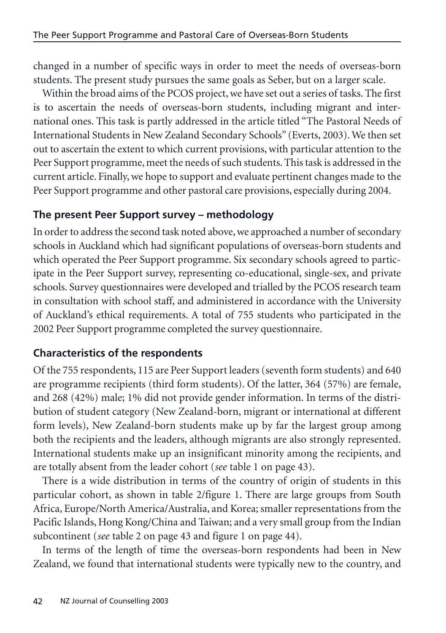changed in a number of specific ways in order to meet the needs of overseas-born students. The present study pursues the same goals as Seber, but on a larger scale.

Within the broad aims of the PCOS project, we have set out a series of tasks. The first is to ascertain the needs of overseas-born students, including migrant and international ones. This task is partly addressed in the article titled "The Pastoral Needs of International Students in New Zealand Secondary Schools" (Everts, 2003). We then set out to ascertain the extent to which current provisions, with particular attention to the Peer Support programme, meet the needs of such students. This task is addressed in the current article. Finally, we hope to support and evaluate pertinent changes made to the Peer Support programme and other pastoral care provisions, especially during 2004.

# **The present Peer Support survey – methodology**

In order to address the second task noted above, we approached a number of secondary schools in Auckland which had significant populations of overseas-born students and which operated the Peer Support programme. Six secondary schools agreed to participate in the Peer Support survey, representing co-educational, single-sex, and private schools. Survey questionnaires were developed and trialled by the PCOS research team in consultation with school staff, and administered in accordance with the University of Auckland's ethical requirements. A total of 755 students who participated in the 2002 Peer Support programme completed the survey questionnaire.

# **Characteristics of the respondents**

Of the 755 respondents, 115 are Peer Support leaders (seventh form students) and 640 are programme recipients (third form students). Of the latter, 364 (57%) are female, and 268 (42%) male; 1% did not provide gender information. In terms of the distribution of student category (New Zealand-born, migrant or international at different form levels), New Zealand-born students make up by far the largest group among both the recipients and the leaders, although migrants are also strongly represented. International students make up an insignificant minority among the recipients, and are totally absent from the leader cohort (*see* table 1 on page 43).

There is a wide distribution in terms of the country of origin of students in this particular cohort, as shown in table 2/figure 1. There are large groups from South Africa, Europe/North America/Australia, and Korea; smaller representations from the Pacific Islands, Hong Kong/China and Taiwan; and a very small group from the Indian subcontinent (*see* table 2 on page 43 and figure 1 on page 44).

In terms of the length of time the overseas-born respondents had been in New Zealand, we found that international students were typically new to the country, and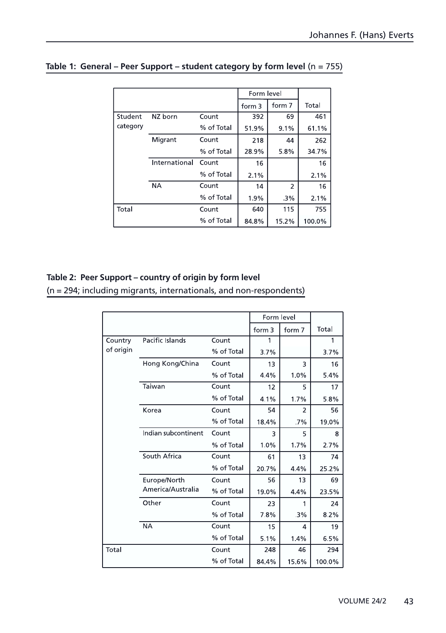|          |               |            |        | Form level     |        |
|----------|---------------|------------|--------|----------------|--------|
|          |               |            | form 3 | form 7         | Total  |
| Student  | NZ born       | Count      | 392    | 69             | 461    |
| category |               | % of Total | 51.9%  | 9.1%           | 61.1%  |
|          | Migrant       | Count      | 218    | 44             | 262    |
|          |               | % of Total | 28.9%  | 5.8%           | 347%   |
|          | International | Count      | 16     |                | 16     |
|          |               | % of Total | 2.1%   |                | 2.1%   |
|          | <b>NA</b>     | Count      | 14     | $\overline{2}$ | 16     |
|          |               | % of Total | 1.9%   | .3%            | 2.1%   |
| Total    |               | Count      | 640    | 115            | 755    |
|          |               | % of Total | 848%   | 15.2%          | 100.0% |

### **Table 1: General – Peer Support – student category by form level** (n = 755)

#### **Table 2: Peer Support – country of origin by form level**

(n = 294; including migrants, internationals, and non-respondents)

|           |                     |            | Form level        |        |        |
|-----------|---------------------|------------|-------------------|--------|--------|
|           |                     |            | form <sub>3</sub> | form 7 | Total  |
| Country   | Pacific Islands     | Count      | 1                 |        | 1      |
| of origin |                     | % of Total | 3.7%              |        | 37%    |
|           | Hong Kong/China     | Count      | 13                | 3      | 16     |
|           |                     | % of Total | 4.4%              | 1.0%   | 5.4%   |
|           | Taiwan              | Count      | 12                | 5      | 17     |
|           |                     | % of Total | 4.1%              | 1.7%   | 5.8%   |
|           | Korea               | Count      | 54                | 2      | 56     |
|           |                     | % of Total | 18.4%             | 7%     | 19.0%  |
|           | Indian subcontinent | Count      | 3                 | 5      | 8      |
|           |                     | % of Total | 1.0%              | 1.7%   | 2.7%   |
|           | South Africa        | Count      | 61                | 13     | 74     |
|           |                     | % of Total | 20.7%             | 4.4%   | 25.2%  |
|           | Europe/North        | Count      | 56                | 13     | 69     |
|           | America/Australia   | % of Total | 19.0%             | 4.4%   | 23.5%  |
|           | Other               | Count      | 23                | 1      | 24     |
|           |                     | % of Total | 7.8%              | 3%     | 8.2%   |
|           | <b>NA</b>           | Count      | 15                | 4      | 19     |
|           |                     | % of Total | 5.1%              | 1.4%   | 6.5%   |
| Total     |                     | Count      | 248               | 46     | 294    |
|           |                     | % of Total | 84.4%             | 15.6%  | 100.0% |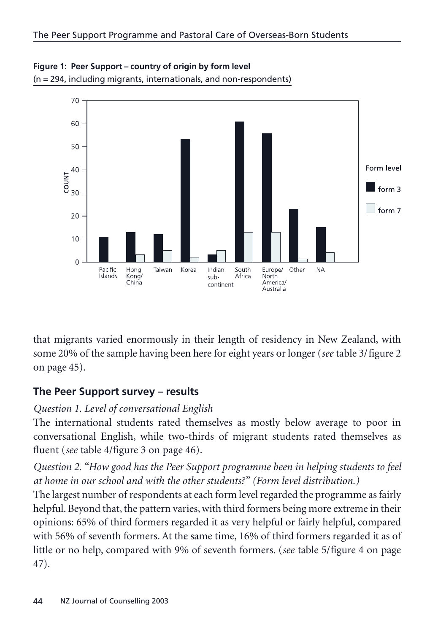

**Figure 1: Peer Support – country of origin by form level**  (n = 294, including migrants, internationals, and non-respondents)

that migrants varied enormously in their length of residency in New Zealand, with some 20% of the sample having been here for eight years or longer (*see* table 3/figure 2 on page 45).

# **The Peer Support survey – results**

#### *Question 1. Level of conversational English*

The international students rated themselves as mostly below average to poor in conversational English, while two-thirds of migrant students rated themselves as fluent (*see* table 4/figure 3 on page 46).

*Question 2. "How good has the Peer Support programme been in helping students to feel at home in our school and with the other students?" (Form level distribution.)*

The largest number of respondents at each form level regarded the programme as fairly helpful. Beyond that, the pattern varies, with third formers being more extreme in their opinions: 65% of third formers regarded it as very helpful or fairly helpful, compared with 56% of seventh formers. At the same time, 16% of third formers regarded it as of little or no help, compared with 9% of seventh formers. (*see* table 5/figure 4 on page 47).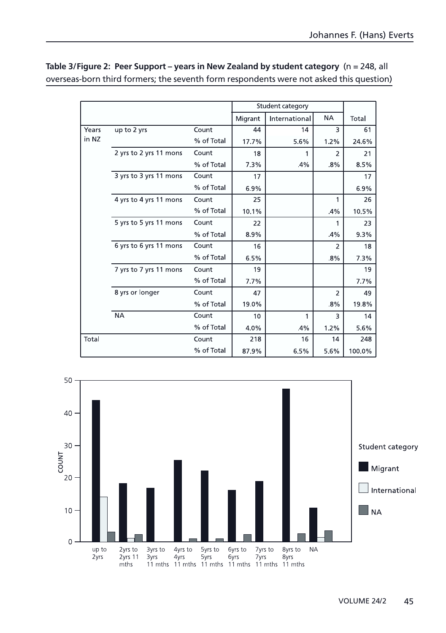|       |                        |            |         | Student category |                |        |
|-------|------------------------|------------|---------|------------------|----------------|--------|
|       |                        |            | Migrant | International    | <b>NA</b>      | Total  |
| Years | up to 2 yrs            | Count      | 44      | 14               | 3              | 61     |
| in NZ |                        | % of Total | 17.7%   | 5.6%             | 1.2%           | 24.6%  |
|       | 2 yrs to 2 yrs 11 mons | Count      | 18      |                  | $\overline{2}$ | 21     |
|       |                        | % of Total | 7.3%    | 4%               | 8%             | 8.5%   |
|       | 3 yrs to 3 yrs 11 mons | Count      | 17      |                  |                | 17     |
|       |                        | % of Total | 6.9%    |                  |                | 6.9%   |
|       | 4 yrs to 4 yrs 11 mons | Count      | 25      |                  | 1              | 26     |
|       |                        | % of Total | 10.1%   |                  | 4%             | 10.5%  |
|       | 5 yrs to 5 yrs 11 mons | Count      | 22      |                  | 1              | 23     |
|       |                        | % of Total | 8.9%    |                  | 4%             | 9.3%   |
|       | 6 yrs to 6 yrs 11 mons | Count      | 16      |                  | $\overline{2}$ | 18     |
|       |                        | % of Total | 6.5%    |                  | 8%             | 7.3%   |
|       | 7 yrs to 7 yrs 11 mons | Count      | 19      |                  |                | 19     |
|       |                        | % of Total | 7.7%    |                  |                | 7.7%   |
|       | 8 yrs or longer        | Count      | 47      |                  | $\overline{2}$ | 49     |
|       |                        | % of Total | 19.0%   |                  | 8%             | 19.8%  |
|       | <b>NA</b>              | Count      | 10      | 1                | 3              | 14     |
|       |                        | % of Total | 4.0%    | 4%               | 1.2%           | 5.6%   |
| Total |                        | Count      | 218     | 16               | 14             | 248    |
|       |                        | % of Total | 87.9%   | 6.5%             | 5.6%           | 100.0% |

#### **Table 3/Figure 2: Peer Support – years in New Zealand by student category** (n = 248, all overseas-born third formers; the seventh form respondents were not asked this question)

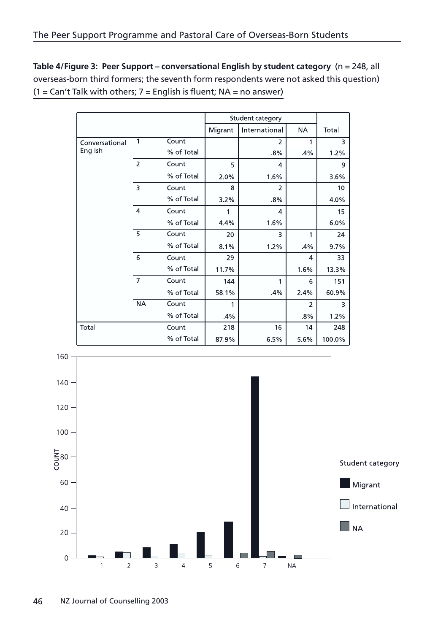**Table 4/Figure 3: Peer Support – conversational English by student category** (n = 248, all overseas-born third formers; the seventh form respondents were not asked this question)  $(1 = Can't$  Talk with others;  $7 =$  English is fluent;  $NA =$  no answer)

|                |                |            |         | Student category |                |        |  |
|----------------|----------------|------------|---------|------------------|----------------|--------|--|
|                |                |            | Migrant | International    | <b>NA</b>      | Total  |  |
| Conversational | 1              | Count      |         | 2                |                | 3      |  |
| English        |                | % of Total |         | 8%               | 4%             | 1.2%   |  |
|                | $\overline{2}$ | Count      | 5       | 4                |                | 9      |  |
|                |                | % of Total | 2.0%    | 1.6%             |                | 3.6%   |  |
|                | $\overline{3}$ | Count      | 8       | $\overline{2}$   |                | 10     |  |
|                |                | % of Total | 3.2%    | 8%               |                | 4.0%   |  |
|                | $\overline{4}$ | Count      | 1       | 4                |                | 15     |  |
|                |                | % of Total | 44%     | 1.6%             |                | 6.0%   |  |
|                | 5              | Count      | 20      | 3                | 1              | 24     |  |
|                |                | % of Total | 8.1%    | 1.2%             | 4%             | 9.7%   |  |
|                | 6              | Count      | 29      |                  | $\overline{a}$ | 33     |  |
|                |                | % of Total | 11.7%   |                  | 1.6%           | 13.3%  |  |
|                | $\overline{7}$ | Count      | 144     | 1                | 6              | 151    |  |
|                |                | % of Total | 58.1%   | 4%               | 2.4%           | 60.9%  |  |
|                | <b>NA</b>      | Count      |         |                  | $\overline{2}$ | 3      |  |
|                |                | % of Total | .4%     |                  | 8%             | 1.2%   |  |
| Total          |                | Count      | 218     | 16               | 14             | 248    |  |
|                |                | % of Total | 87.9%   | 6.5%             | 5.6%           | 100.0% |  |

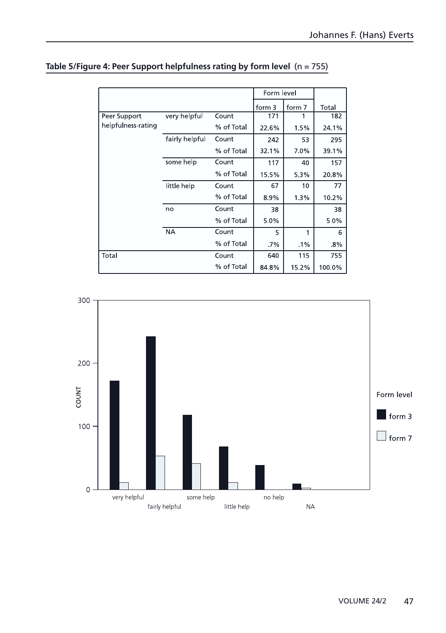|                    |                |            | Form level |        |        |
|--------------------|----------------|------------|------------|--------|--------|
|                    |                |            | form 3     | form 7 | Total  |
| Peer Support       | very helpful   | Count      | 171        |        | 182    |
| helpfulness-rating |                | % of Total | 22.6%      | 1.5%   | 24.1%  |
|                    | fairly helpful | Count      | 242        | 53     | 295    |
|                    |                | % of Total | 32.1%      | 7.0%   | 39.1%  |
|                    | some help      | Count      | 117        | 40     | 157    |
|                    |                | % of Total | 15.5%      | 5.3%   | 208%   |
|                    | little help    | Count      | 67         | 10     | 77     |
|                    |                | % of Total | 8.9%       | 1.3%   | 10.2%  |
|                    | no             | Count      | 38         |        | 38     |
|                    |                | % of Total | 5.0%       |        | 5.0%   |
|                    | <b>NA</b>      | Count      | 5          | 1      | 6      |
|                    |                | % of Total | $.7\%$     | $.1\%$ | .8%    |
| Total              |                | Count      | 640        | 115    | 755    |
|                    |                | % of Total | 84.8%      | 15.2%  | 100.0% |

#### **Table 5/Figure 4: Peer Support helpfulness rating by form level** (n = 755)

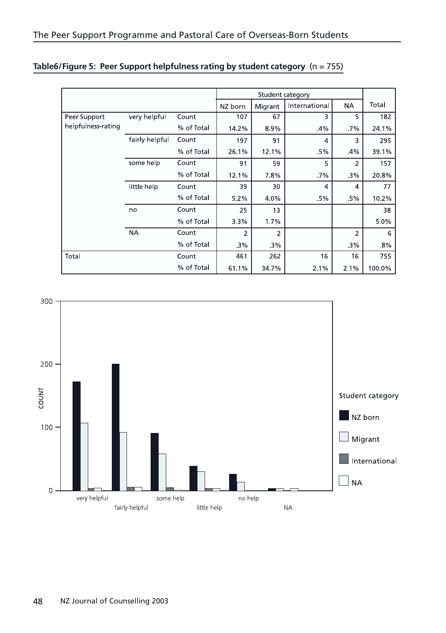|                    |                |            |         | Student category |                |           |        |  |
|--------------------|----------------|------------|---------|------------------|----------------|-----------|--------|--|
|                    |                |            | NZ born | Migrant          | International  | <b>NA</b> | Total  |  |
| Peer Support       | very helpful   | Count      | 107     | 67               | 3              | 5         | 182    |  |
| helpfulness-rating |                | % of Total | 14.2%   | 8.9%             | 4%             | 7%        | 24.1%  |  |
|                    | fairly helpful | Count      | 197     | 91               | 4              | 3         | 295    |  |
|                    |                | % of Total | 26.1%   | 12.1%            | .5%            | 4%        | 39.1%  |  |
|                    | some help      | Count      | 91      | 59               | 5              | 2         | 157    |  |
|                    |                | % of Total | 12.1%   | 78%              | .7%            | .3%       | 20.8%  |  |
|                    | little help    | Count      | 39      | 30               | $\overline{4}$ | 4         | 77     |  |
|                    |                | % of Total | 5.2%    | 4.0%             | .5%            | .5%       | 10.2%  |  |
|                    | no             | Count      | 25      | 13               |                |           | 38     |  |
|                    |                | % of Total | 3.3%    | 1.7%             |                |           | 5.0%   |  |
|                    | <b>NA</b>      | Count      | 2       | $\overline{2}$   |                | 2         | 6      |  |
|                    |                | % of Total | 3%      | 3%               |                | .3%       | 8%     |  |
| Total              |                | Count      | 461     | 262              | 16             | 16        | 755    |  |
|                    |                | % of Total | 61.1%   | 34.7%            | 2.1%           | 2.1%      | 100 0% |  |

| Table6/Figure 5: Peer Support helpfulness rating by student category (n = 755) |  |
|--------------------------------------------------------------------------------|--|
|--------------------------------------------------------------------------------|--|

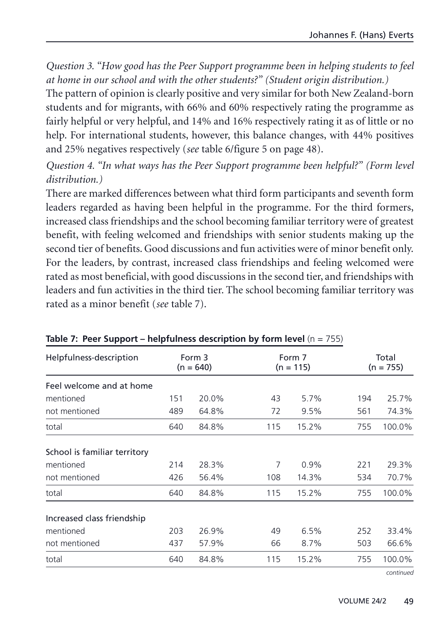*Question 3. "How good has the Peer Support programme been in helping students to feel at home in our school and with the other students?" (Student origin distribution.)*

The pattern of opinion is clearly positive and very similar for both New Zealand-born students and for migrants, with 66% and 60% respectively rating the programme as fairly helpful or very helpful, and 14% and 16% respectively rating it as of little or no help. For international students, however, this balance changes, with 44% positives and 25% negatives respectively (*see* table 6/figure 5 on page 48).

*Question 4. "In what ways has the Peer Support programme been helpful?" (Form level distribution.)*

There are marked differences between what third form participants and seventh form leaders regarded as having been helpful in the programme. For the third formers, increased class friendships and the school becoming familiar territory were of greatest benefit, with feeling welcomed and friendships with senior students making up the second tier of benefits. Good discussions and fun activities were of minor benefit only. For the leaders, by contrast, increased class friendships and feeling welcomed were rated as most beneficial, with good discussions in the second tier, and friendships with leaders and fun activities in the third tier. The school becoming familiar territory was rated as a minor benefit (*see* table 7).

| Helpfulness-description      |     | Form 3<br>$(n = 640)$ |     | Form 7<br>$(n = 115)$ |     | Total<br>$(n = 755)$ |
|------------------------------|-----|-----------------------|-----|-----------------------|-----|----------------------|
| Feel welcome and at home     |     |                       |     |                       |     |                      |
| mentioned                    | 151 | 20.0%                 | 43  | 5.7%                  | 194 | 25.7%                |
| not mentioned                | 489 | 64.8%                 | 72  | 9.5%                  | 561 | 74.3%                |
| total                        | 640 | 84.8%                 | 115 | 15.2%                 | 755 | 100.0%               |
| School is familiar territory |     |                       |     |                       |     |                      |
| mentioned                    | 214 | 28.3%                 | 7   | 0.9%                  | 221 | 29.3%                |
| not mentioned                | 426 | 56.4%                 | 108 | 14.3%                 | 534 | 70.7%                |
| total                        | 640 | 84.8%                 | 115 | 15.2%                 | 755 | 100.0%               |
| Increased class friendship   |     |                       |     |                       |     |                      |
| mentioned                    | 203 | 26.9%                 | 49  | 6.5%                  | 252 | 33.4%                |
| not mentioned                | 437 | 57.9%                 | 66  | 8.7%                  | 503 | 66.6%                |
| total                        | 640 | 84.8%                 | 115 | 15.2%                 | 755 | 100.0%               |
|                              |     |                       |     |                       |     | continued            |

#### **Table 7: Peer Support – helpfulness description by form level** (n = 755)

49 VOLUME 24/2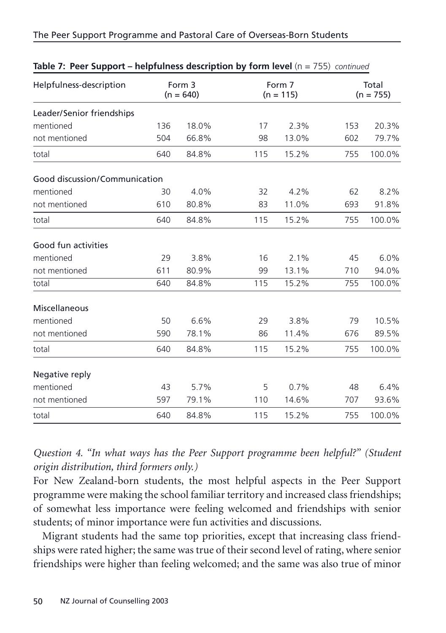#### The Peer Support Programme and Pastoral Care of Overseas-Born Students

| Helpfulness-description       | Form 3<br>$(n = 640)$ |       |     | Form 7<br>$(n = 115)$ |     | Total<br>$(n = 755)$ |  |
|-------------------------------|-----------------------|-------|-----|-----------------------|-----|----------------------|--|
| Leader/Senior friendships     |                       |       |     |                       |     |                      |  |
| mentioned                     | 136                   | 18.0% | 17  | 2.3%                  | 153 | 20.3%                |  |
| not mentioned                 | 504                   | 66.8% | 98  | 13.0%                 | 602 | 79.7%                |  |
| total                         | 640                   | 84.8% | 115 | 15.2%                 | 755 | 100.0%               |  |
| Good discussion/Communication |                       |       |     |                       |     |                      |  |
| mentioned                     | 30                    | 4.0%  | 32  | 4.2%                  | 62  | 8.2%                 |  |
| not mentioned                 | 610                   | 80.8% | 83  | 11.0%                 | 693 | 91.8%                |  |
| total                         | 640                   | 84.8% | 115 | 15.2%                 | 755 | 100.0%               |  |
| Good fun activities           |                       |       |     |                       |     |                      |  |
| mentioned                     | 29                    | 3.8%  | 16  | 2.1%                  | 45  | 6.0%                 |  |
| not mentioned                 | 611                   | 80.9% | 99  | 13.1%                 | 710 | 94.0%                |  |
| total                         | 640                   | 84.8% | 115 | 15.2%                 | 755 | 100.0%               |  |
| Miscellaneous                 |                       |       |     |                       |     |                      |  |
| mentioned                     | 50                    | 6.6%  | 29  | 3.8%                  | 79  | 10.5%                |  |
| not mentioned                 | 590                   | 78.1% | 86  | 11.4%                 | 676 | 89.5%                |  |
| total                         | 640                   | 84.8% | 115 | 15.2%                 | 755 | 100.0%               |  |
| Negative reply                |                       |       |     |                       |     |                      |  |
| mentioned                     | 43                    | 5.7%  | 5   | 0.7%                  | 48  | 6.4%                 |  |
| not mentioned                 | 597                   | 79.1% | 110 | 14.6%                 | 707 | 93.6%                |  |
| total                         | 640                   | 84.8% | 115 | 15.2%                 | 755 | 100.0%               |  |

#### **Table 7: Peer Support – helpfulness description by form level** (n = 755) *continued*

*Question 4. "In what ways has the Peer Support programme been helpful?" (Student origin distribution, third formers only.)*

For New Zealand-born students, the most helpful aspects in the Peer Support programme were making the school familiar territory and increased class friendships; of somewhat less importance were feeling welcomed and friendships with senior students; of minor importance were fun activities and discussions.

Migrant students had the same top priorities, except that increasing class friendships were rated higher; the same was true of their second level of rating, where senior friendships were higher than feeling welcomed; and the same was also true of minor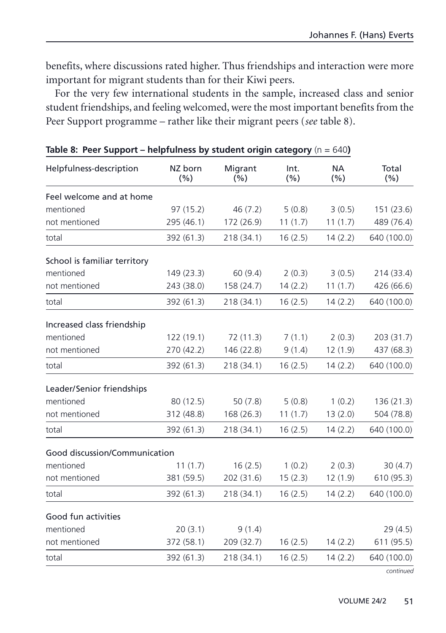benefits, where discussions rated higher. Thus friendships and interaction were more important for migrant students than for their Kiwi peers.

For the very few international students in the sample, increased class and senior student friendships, and feeling welcomed, were the most important benefits from the Peer Support programme – rather like their migrant peers (*see* table 8).

| Helpfulness-description       | NZ born<br>(% ) | Migrant<br>(%) | Int.<br>(%) | <b>NA</b><br>(%) | Total<br>(%) |
|-------------------------------|-----------------|----------------|-------------|------------------|--------------|
| Feel welcome and at home      |                 |                |             |                  |              |
| mentioned                     | 97 (15.2)       | 46(7.2)        | 5(0.8)      | 3(0.5)           | 151 (23.6)   |
| not mentioned                 | 295 (46.1)      | 172 (26.9)     | 11(1.7)     | 11(1.7)          | 489 (76.4)   |
| total                         | 392 (61.3)      | 218 (34.1)     | 16(2.5)     | 14(2.2)          | 640 (100.0)  |
| School is familiar territory  |                 |                |             |                  |              |
| mentioned                     | 149 (23.3)      | 60(9.4)        | 2(0.3)      | 3(0.5)           | 214 (33.4)   |
| not mentioned                 | 243 (38.0)      | 158 (24.7)     | 14(2.2)     | 11(1.7)          | 426 (66.6)   |
| total                         | 392 (61.3)      | 218 (34.1)     | 16(2.5)     | 14(2.2)          | 640 (100.0)  |
| Increased class friendship    |                 |                |             |                  |              |
| mentioned                     | 122 (19.1)      | 72 (11.3)      | 7(1.1)      | 2(0.3)           | 203 (31.7)   |
| not mentioned                 | 270 (42.2)      | 146 (22.8)     | 9(1.4)      | 12(1.9)          | 437 (68.3)   |
| total                         | 392 (61.3)      | 218 (34.1)     | 16(2.5)     | 14(2.2)          | 640 (100.0)  |
| Leader/Senior friendships     |                 |                |             |                  |              |
| mentioned                     | 80 (12.5)       | 50(7.8)        | 5(0.8)      | 1(0.2)           | 136 (21.3)   |
| not mentioned                 | 312 (48.8)      | 168 (26.3)     | 11(1.7)     | 13(2.0)          | 504 (78.8)   |
| total                         | 392 (61.3)      | 218 (34.1)     | 16(2.5)     | 14(2.2)          | 640 (100.0)  |
| Good discussion/Communication |                 |                |             |                  |              |
| mentioned                     | 11(1.7)         | 16(2.5)        | 1(0.2)      | 2(0.3)           | 30(4.7)      |
| not mentioned                 | 381 (59.5)      | 202 (31.6)     | 15(2.3)     | 12(1.9)          | 610 (95.3)   |
| total                         | 392 (61.3)      | 218 (34.1)     | 16(2.5)     | 14(2.2)          | 640 (100.0)  |
| Good fun activities           |                 |                |             |                  |              |
| mentioned                     | 20(3.1)         | 9(1.4)         |             |                  | 29(4.5)      |
| not mentioned                 | 372 (58.1)      | 209 (32.7)     | 16(2.5)     | 14(2.2)          | 611 (95.5)   |
| total                         | 392 (61.3)      | 218 (34.1)     | 16(2.5)     | 14(2.2)          | 640 (100.0)  |
|                               |                 |                |             |                  | continued    |

**Table 8: Peer Support – helpfulness by student origin category (n = 640)**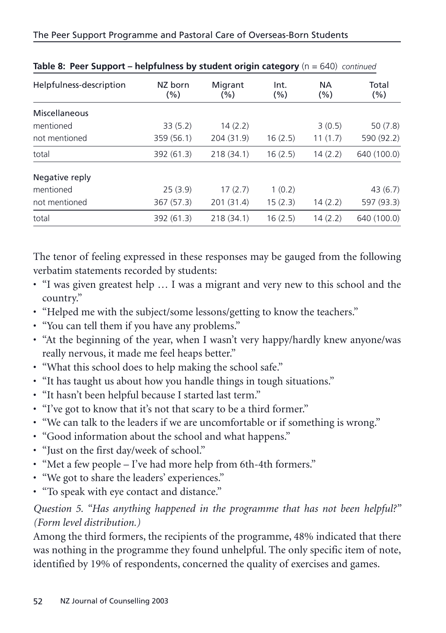| . .                     |                 |                    |                 |                  |                  |
|-------------------------|-----------------|--------------------|-----------------|------------------|------------------|
| Helpfulness-description | NZ born<br>(% ) | Migrant<br>$(\% )$ | Int.<br>$(\% )$ | <b>NA</b><br>(%) | Total<br>$(\% )$ |
| Miscellaneous           |                 |                    |                 |                  |                  |
| mentioned               | 33(5.2)         | 14(2.2)            |                 | 3(0.5)           | 50(7.8)          |
| not mentioned           | 359 (56.1)      | 204 (31.9)         | 16(2.5)         | 11(1.7)          | 590 (92.2)       |
| total                   | 392 (61.3)      | 218 (34.1)         | 16(2.5)         | 14(2.2)          | 640 (100.0)      |
| Negative reply          |                 |                    |                 |                  |                  |
| mentioned               | 25(3.9)         | 17(2.7)            | 1(0.2)          |                  | 43(6.7)          |
| not mentioned           | 367 (57.3)      | 201 (31.4)         | 15(2.3)         | 14(2.2)          | 597 (93.3)       |
| total                   | 392 (61.3)      | 218 (34.1)         | 16(2.5)         | 14(2.2)          | 640 (100.0)      |

| Table 8: Peer Support - helpfulness by student origin category ( $n = 640$ ) continued |  |
|----------------------------------------------------------------------------------------|--|
|----------------------------------------------------------------------------------------|--|

The tenor of feeling expressed in these responses may be gauged from the following verbatim statements recorded by students:

- "I was given greatest help … I was a migrant and very new to this school and the country."
- "Helped me with the subject/some lessons/getting to know the teachers."
- "You can tell them if you have any problems."
- "At the beginning of the year, when I wasn't very happy/hardly knew anyone/was really nervous, it made me feel heaps better."
- "What this school does to help making the school safe."
- "It has taught us about how you handle things in tough situations."
- "It hasn't been helpful because I started last term."
- "I've got to know that it's not that scary to be a third former."
- "We can talk to the leaders if we are uncomfortable or if something is wrong."
- "Good information about the school and what happens."
- "Just on the first day/week of school."
- "Met a few people I've had more help from 6th-4th formers."
- "We got to share the leaders' experiences."
- "To speak with eye contact and distance."

# *Question 5. "Has anything happened in the programme that has not been helpful?" (Form level distribution.)*

Among the third formers, the recipients of the programme, 48% indicated that there was nothing in the programme they found unhelpful. The only specific item of note, identified by 19% of respondents, concerned the quality of exercises and games.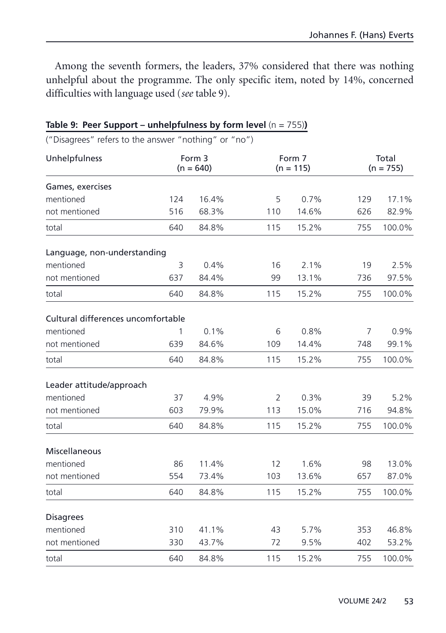Among the seventh formers, the leaders, 37% considered that there was nothing unhelpful about the programme. The only specific item, noted by 14%, concerned difficulties with language used (*see* table 9).

| ("Disagrees" refers to the answer "nothing" or "no") |     |                       |                       |       |     |                      |  |
|------------------------------------------------------|-----|-----------------------|-----------------------|-------|-----|----------------------|--|
| Unhelpfulness                                        |     | Form 3<br>$(n = 640)$ | Form 7<br>$(n = 115)$ |       |     | Total<br>$(n = 755)$ |  |
| Games, exercises                                     |     |                       |                       |       |     |                      |  |
| mentioned                                            | 124 | 16.4%                 | 5                     | 0.7%  | 129 | 17.1%                |  |
| not mentioned                                        | 516 | 68.3%                 | 110                   | 14.6% | 626 | 82.9%                |  |
| total                                                | 640 | 84.8%                 | 115                   | 15.2% | 755 | 100.0%               |  |
| Language, non-understanding                          |     |                       |                       |       |     |                      |  |
| mentioned                                            | 3   | 0.4%                  | 16                    | 2.1%  | 19  | 2.5%                 |  |
| not mentioned                                        | 637 | 84.4%                 | 99                    | 13.1% | 736 | 97.5%                |  |
| total                                                | 640 | 84.8%                 | 115                   | 15.2% | 755 | 100.0%               |  |
| Cultural differences uncomfortable                   |     |                       |                       |       |     |                      |  |
| mentioned                                            | 1   | 0.1%                  | 6                     | 0.8%  | 7   | 0.9%                 |  |
| not mentioned                                        | 639 | 84.6%                 | 109                   | 14.4% | 748 | 99.1%                |  |
| total                                                | 640 | 84.8%                 | 115                   | 15.2% | 755 | 100.0%               |  |
| Leader attitude/approach                             |     |                       |                       |       |     |                      |  |
| mentioned                                            | 37  | 4.9%                  | $\overline{2}$        | 0.3%  | 39  | 5.2%                 |  |
| not mentioned                                        | 603 | 79.9%                 | 113                   | 15.0% | 716 | 94.8%                |  |
| total                                                | 640 | 84.8%                 | 115                   | 15.2% | 755 | 100.0%               |  |
| Miscellaneous                                        |     |                       |                       |       |     |                      |  |
| mentioned                                            | 86  | 11.4%                 | 12                    | 1.6%  | 98  | 13.0%                |  |
| not mentioned                                        | 554 | 73.4%                 | 103                   | 13.6% | 657 | 87.0%                |  |
| total                                                | 640 | 84.8%                 | 115                   | 15.2% | 755 | 100.0%               |  |
| <b>Disagrees</b>                                     |     |                       |                       |       |     |                      |  |
| mentioned                                            | 310 | 41.1%                 | 43                    | 5.7%  | 353 | 46.8%                |  |
| not mentioned                                        | 330 | 43.7%                 | 72                    | 9.5%  | 402 | 53.2%                |  |
| total                                                | 640 | 84.8%                 | 115                   | 15.2% | 755 | 100.0%               |  |

#### **Table 9: Peer Support – unhelpfulness by form level (n = 755))**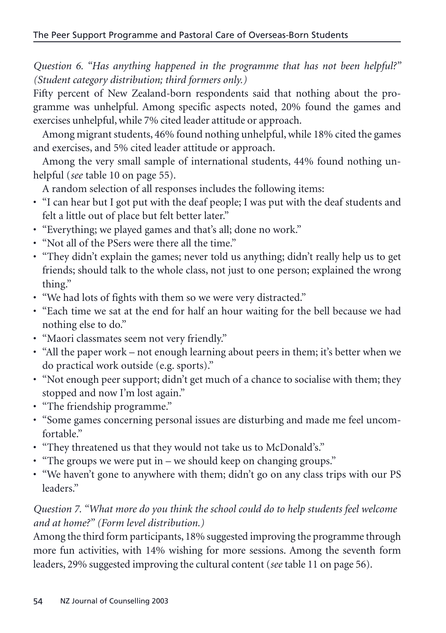*Question 6. "Has anything happened in the programme that has not been helpful?" (Student category distribution; third formers only.)*

Fifty percent of New Zealand-born respondents said that nothing about the programme was unhelpful. Among specific aspects noted, 20% found the games and exercises unhelpful, while 7% cited leader attitude or approach.

Among migrant students, 46% found nothing unhelpful, while 18% cited the games and exercises, and 5% cited leader attitude or approach.

Among the very small sample of international students, 44% found nothing unhelpful (*see* table 10 on page 55).

A random selection of all responses includes the following items:

- "I can hear but I got put with the deaf people; I was put with the deaf students and felt a little out of place but felt better later."
- "Everything; we played games and that's all; done no work."
- "Not all of the PSers were there all the time."
- "They didn't explain the games; never told us anything; didn't really help us to get friends; should talk to the whole class, not just to one person; explained the wrong thing."
- "We had lots of fights with them so we were very distracted."
- "Each time we sat at the end for half an hour waiting for the bell because we had nothing else to do."
- "Maori classmates seem not very friendly."
- "All the paper work not enough learning about peers in them; it's better when we do practical work outside (e.g. sports)."
- "Not enough peer support; didn't get much of a chance to socialise with them; they stopped and now I'm lost again."
- "The friendship programme."
- "Some games concerning personal issues are disturbing and made me feel uncomfortable"
- "They threatened us that they would not take us to McDonald's."
- "The groups we were put in we should keep on changing groups."
- "We haven't gone to anywhere with them; didn't go on any class trips with our PS leaders."

# *Question 7. "What more do you think the school could do to help students feel welcome and at home?" (Form level distribution.)*

Among the third form participants, 18% suggested improving the programme through more fun activities, with 14% wishing for more sessions. Among the seventh form leaders, 29% suggested improving the cultural content (*see* table 11 on page 56).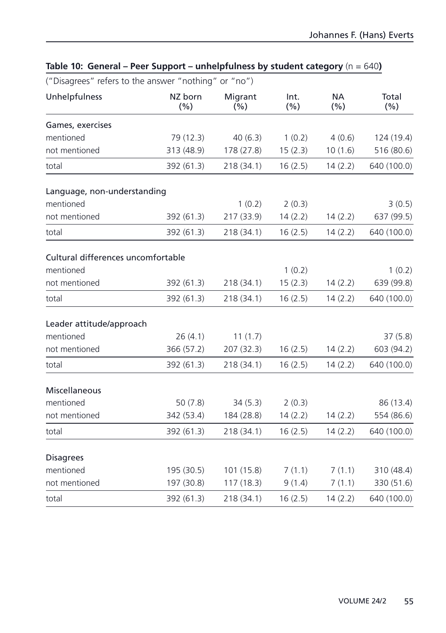| ("Disagrees" refers to the answer "nothing" or "no") |                |                 |                 |                  |              |
|------------------------------------------------------|----------------|-----------------|-----------------|------------------|--------------|
| Unhelpfulness                                        | NZ born<br>(%) | Migrant<br>(% ) | Int.<br>$(\% )$ | <b>NA</b><br>(%) | Total<br>(%) |
| Games, exercises                                     |                |                 |                 |                  |              |
| mentioned                                            | 79 (12.3)      | 40(6.3)         | 1(0.2)          | 4(0.6)           | 124 (19.4)   |
| not mentioned                                        | 313 (48.9)     | 178 (27.8)      | 15(2.3)         | 10(1.6)          | 516 (80.6)   |
| total                                                | 392 (61.3)     | 218 (34.1)      | 16(2.5)         | 14(2.2)          | 640 (100.0)  |
| Language, non-understanding                          |                |                 |                 |                  |              |
| mentioned                                            |                | 1(0.2)          | 2(0.3)          |                  | 3(0.5)       |
| not mentioned                                        | 392 (61.3)     | 217 (33.9)      | 14(2.2)         | 14(2.2)          | 637 (99.5)   |
| total                                                | 392 (61.3)     | 218 (34.1)      | 16(2.5)         | 14(2.2)          | 640 (100.0)  |
| Cultural differences uncomfortable                   |                |                 |                 |                  |              |
| mentioned                                            |                |                 | 1(0.2)          |                  | 1(0.2)       |
| not mentioned                                        | 392 (61.3)     | 218 (34.1)      | 15(2.3)         | 14(2.2)          | 639 (99.8)   |
| total                                                | 392 (61.3)     | 218 (34.1)      | 16(2.5)         | 14(2.2)          | 640 (100.0)  |
| Leader attitude/approach                             |                |                 |                 |                  |              |
| mentioned                                            | 26(4.1)        | 11(1.7)         |                 |                  | 37(5.8)      |
| not mentioned                                        | 366 (57.2)     | 207 (32.3)      | 16(2.5)         | 14(2.2)          | 603 (94.2)   |
| total                                                | 392 (61.3)     | 218 (34.1)      | 16(2.5)         | 14(2.2)          | 640 (100.0)  |
| Miscellaneous                                        |                |                 |                 |                  |              |
| mentioned                                            | 50(7.8)        | 34(5.3)         | 2(0.3)          |                  | 86 (13.4)    |
| not mentioned                                        | 342 (53.4)     | 184 (28.8)      | 14(2.2)         | 14(2.2)          | 554 (86.6)   |
| total                                                | 392 (61.3)     | 218 (34.1)      | 16(2.5)         | 14(2.2)          | 640 (100.0)  |
| <b>Disagrees</b>                                     |                |                 |                 |                  |              |
| mentioned                                            | 195 (30.5)     | 101 (15.8)      | 7(1.1)          | 7(1.1)           | 310 (48.4)   |
| not mentioned                                        | 197 (30.8)     | 117(18.3)       | 9(1.4)          | 7(1.1)           | 330 (51.6)   |
| total                                                | 392 (61.3)     | 218 (34.1)      | 16(2.5)         | 14(2.2)          | 640 (100.0)  |

# **Table 10: General – Peer Support – unhelpfulness by student category** (n = 640**)**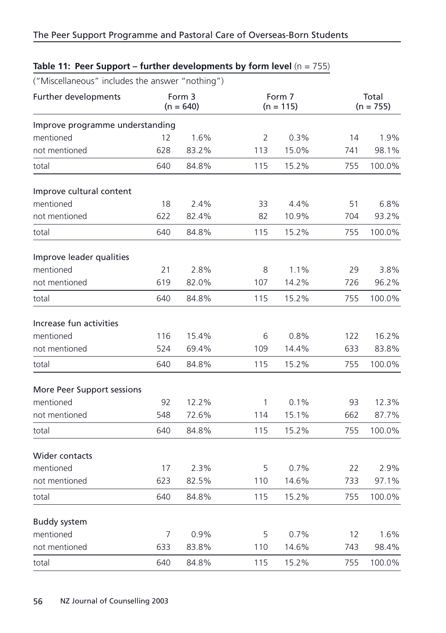| ("Miscellaneous" includes the answer "nothing") |     |                       |                |                       |     |                      |  |
|-------------------------------------------------|-----|-----------------------|----------------|-----------------------|-----|----------------------|--|
| Further developments                            |     | Form 3<br>$(n = 640)$ |                | Form 7<br>$(n = 115)$ |     | Total<br>$(n = 755)$ |  |
| Improve programme understanding                 |     |                       |                |                       |     |                      |  |
| mentioned                                       | 12  | 1.6%                  | $\overline{2}$ | 0.3%                  | 14  | 1.9%                 |  |
| not mentioned                                   | 628 | 83.2%                 | 113            | 15.0%                 | 741 | 98.1%                |  |
| total                                           | 640 | 84.8%                 | 115            | 15.2%                 | 755 | 100.0%               |  |
| Improve cultural content                        |     |                       |                |                       |     |                      |  |
| mentioned                                       | 18  | 2.4%                  | 33             | 4.4%                  | 51  | 6.8%                 |  |
| not mentioned                                   | 622 | 82.4%                 | 82             | 10.9%                 | 704 | 93.2%                |  |
| total                                           | 640 | 84.8%                 | 115            | 15.2%                 | 755 | 100.0%               |  |
| Improve leader qualities                        |     |                       |                |                       |     |                      |  |
| mentioned                                       | 21  | 2.8%                  | 8              | 1.1%                  | 29  | 3.8%                 |  |
| not mentioned                                   | 619 | 82.0%                 | 107            | 14.2%                 | 726 | 96.2%                |  |
| total                                           | 640 | 84.8%                 | 115            | 15.2%                 | 755 | 100.0%               |  |
| Increase fun activities                         |     |                       |                |                       |     |                      |  |
| mentioned                                       | 116 | 15.4%                 | 6              | 0.8%                  | 122 | 16.2%                |  |
| not mentioned                                   | 524 | 69.4%                 | 109            | 14.4%                 | 633 | 83.8%                |  |
| total                                           | 640 | 84.8%                 | 115            | 15.2%                 | 755 | 100.0%               |  |
| More Peer Support sessions                      |     |                       |                |                       |     |                      |  |
| mentioned                                       | 92  | 12.2%                 | 1              | 0.1%                  | 93  | 12.3%                |  |
| not mentioned                                   | 548 | 72.6%                 | 114            | 15.1%                 | 662 | 87.7%                |  |
| total                                           | 640 | 84.8%                 | 115            | 15.2%                 | 755 | 100.0%               |  |
| Wider contacts                                  |     |                       |                |                       |     |                      |  |
| mentioned                                       | 17  | 2.3%                  | 5              | 0.7%                  | 22  | 2.9%                 |  |
| not mentioned                                   | 623 | 82.5%                 | 110            | 14.6%                 | 733 | 97.1%                |  |
| total                                           | 640 | 84.8%                 | 115            | 15.2%                 | 755 | 100.0%               |  |
| <b>Buddy system</b>                             |     |                       |                |                       |     |                      |  |
| mentioned                                       | 7   | 0.9%                  | 5              | 0.7%                  | 12  | 1.6%                 |  |
| not mentioned                                   | 633 | 83.8%                 | 110            | 14.6%                 | 743 | 98.4%                |  |
| total                                           | 640 | 84.8%                 | 115            | 15.2%                 | 755 | 100.0%               |  |

# **Table 11: Peer Support – further developments by form level** (n = 755)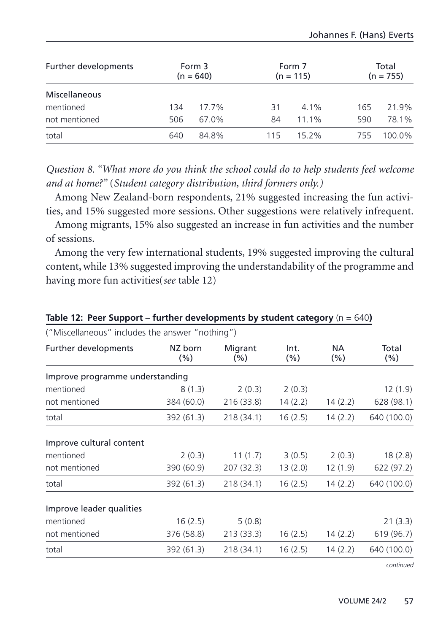| Further developments | Form 3<br>$(n = 640)$ |       |     | Form 7<br>$(n = 115)$ |     | Total<br>$(n = 755)$ |  |
|----------------------|-----------------------|-------|-----|-----------------------|-----|----------------------|--|
| Miscellaneous        |                       |       |     |                       |     |                      |  |
| mentioned            | 134                   | 17.7% | 31  | $4.1\%$               | 165 | 21.9%                |  |
| not mentioned        | 506                   | 67.0% | 84  | $11.1\%$              | 590 | 78.1%                |  |
| total                | 640                   | 84.8% | 115 | 152%                  | 755 | 100.0%               |  |

*Question 8. "What more do you think the school could do to help students feel welcome and at home?"* (*Student category distribution, third formers only.)*

Among New Zealand-born respondents, 21% suggested increasing the fun activities, and 15% suggested more sessions. Other suggestions were relatively infrequent.

Among migrants, 15% also suggested an increase in fun activities and the number of sessions.

Among the very few international students, 19% suggested improving the cultural content, while 13% suggested improving the understandability of the programme and having more fun activities(*see* table 12)

| ("Miscellaneous" includes the answer "nothing") |                |                |              |                      |                  |
|-------------------------------------------------|----------------|----------------|--------------|----------------------|------------------|
| Further developments                            | NZ born<br>(%) | Migrant<br>(%) | Int.<br>(% ) | <b>NA</b><br>$(\% )$ | Total<br>$(\% )$ |
| Improve programme understanding                 |                |                |              |                      |                  |
| mentioned                                       | 8(1.3)         | 2(0.3)         | 2(0.3)       |                      | 12(1.9)          |
| not mentioned                                   | 384 (60.0)     | 216 (33.8)     | 14(2.2)      | 14(2.2)              | 628 (98.1)       |
| total                                           | 392 (61.3)     | 218 (34.1)     | 16(2.5)      | 14(2.2)              | 640 (100.0)      |
| Improve cultural content                        |                |                |              |                      |                  |
| mentioned                                       | 2(0.3)         | 11(1.7)        | 3(0.5)       | 2(0.3)               | 18(2.8)          |
| not mentioned                                   | 390 (60.9)     | 207(32.3)      | 13(2.0)      | 12(1.9)              | 622 (97.2)       |
| total                                           | 392 (61.3)     | 218 (34.1)     | 16(2.5)      | 14(2.2)              | 640 (100.0)      |
| Improve leader qualities                        |                |                |              |                      |                  |
| mentioned                                       | 16(2.5)        | 5(0.8)         |              |                      | 21(3.3)          |
| not mentioned                                   | 376 (58.8)     | 213(33.3)      | 16(2.5)      | 14(2.2)              | 619 (96.7)       |
| total                                           | 392 (61.3)     | 218 (34.1)     | 16(2.5)      | 14(2.2)              | 640 (100.0)      |

**Table 12: Peer Support – further developments by student category (n = 640)** 

*continued*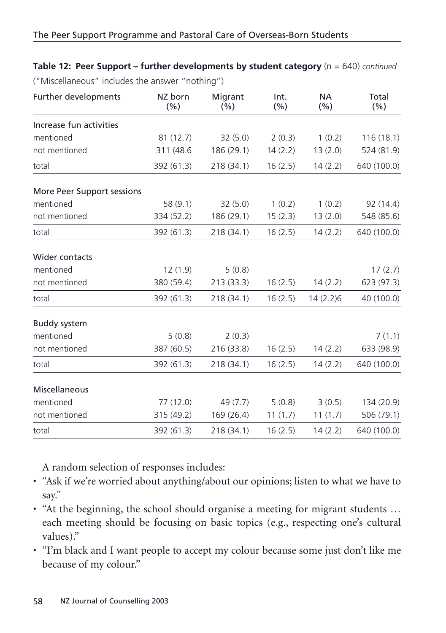| ("Miscellaneous" includes the answer "nothing") |                |                |         |                  |               |  |
|-------------------------------------------------|----------------|----------------|---------|------------------|---------------|--|
| Further developments                            | NZ born<br>(%) | Migrant<br>(%) |         | <b>NA</b><br>(%) | Total<br>(% ) |  |
| Increase fun activities                         |                |                |         |                  |               |  |
| mentioned                                       | 81(12.7)       | 32(5.0)        | 2(0.3)  | 1(0.2)           | 116(18.1)     |  |
| not mentioned                                   | 311 (48.6      | 186 (29.1)     | 14(2.2) | 13(2.0)          | 524 (81.9)    |  |
| total                                           | 392 (61.3)     | 218 (34.1)     | 16(2.5) | 14(2.2)          | 640 (100.0)   |  |
| More Peer Support sessions                      |                |                |         |                  |               |  |
| mentioned                                       | 58(9.1)        | 32(5.0)        | 1(0.2)  | 1(0.2)           | 92 (14.4)     |  |
| not mentioned                                   | 334 (52.2)     | 186 (29.1)     | 15(2.3) | 13(2.0)          | 548 (85.6)    |  |
| total                                           | 392 (61.3)     | 218 (34.1)     | 16(2.5) | 14(2.2)          | 640 (100.0)   |  |
| <b>Wider contacts</b>                           |                |                |         |                  |               |  |
| mentioned                                       | 12(1.9)        | 5(0.8)         |         |                  | 17(2.7)       |  |
| not mentioned                                   | 380 (59.4)     | 213(33.3)      | 16(2.5) | 14(2.2)          | 623 (97.3)    |  |
| total                                           | 392 (61.3)     | 218(34.1)      | 16(2.5) | 14(2.2)6         | 40 (100.0)    |  |
| <b>Buddy system</b>                             |                |                |         |                  |               |  |
| mentioned                                       | 5(0.8)         | 2(0.3)         |         |                  | 7(1.1)        |  |
| not mentioned                                   | 387 (60.5)     | 216 (33.8)     | 16(2.5) | 14(2.2)          | 633 (98.9)    |  |
| total                                           | 392 (61.3)     | 218 (34.1)     | 16(2.5) | 14(2.2)          | 640 (100.0)   |  |
| Miscellaneous                                   |                |                |         |                  |               |  |
| mentioned                                       | 77 (12.0)      | 49 (7.7)       | 5(0.8)  | 3(0.5)           | 134 (20.9)    |  |
| not mentioned                                   | 315 (49.2)     | 169(26.4)      | 11(1.7) | 11(1.7)          | 506 (79.1)    |  |
| total                                           | 392 (61.3)     | 218 (34.1)     | 16(2.5) | 14(2.2)          | 640 (100.0)   |  |

**Table 12: Peer Support – further developments by student category** (n = 640) *continued* 

A random selection of responses includes:

- "Ask if we're worried about anything/about our opinions; listen to what we have to say."
- "At the beginning, the school should organise a meeting for migrant students … each meeting should be focusing on basic topics (e.g., respecting one's cultural values)."
- "I'm black and I want people to accept my colour because some just don't like me because of my colour."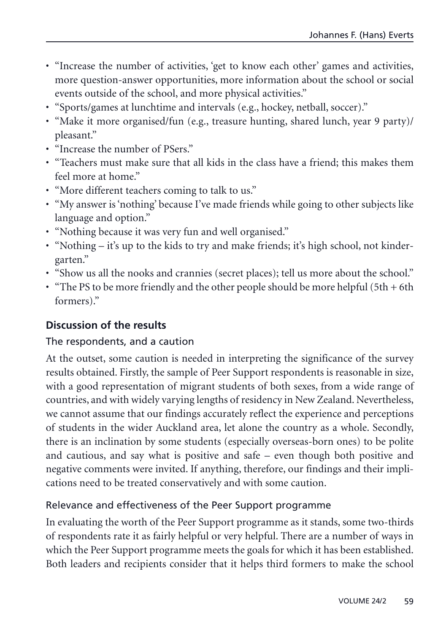- "Increase the number of activities, 'get to know each other' games and activities, more question-answer opportunities, more information about the school or social events outside of the school, and more physical activities."
- "Sports/games at lunchtime and intervals (e.g., hockey, netball, soccer)."
- "Make it more organised/fun (e.g., treasure hunting, shared lunch, year 9 party)/ pleasant."
- "Increase the number of PSers."
- "Teachers must make sure that all kids in the class have a friend; this makes them feel more at home."
- "More different teachers coming to talk to us."
- "My answer is 'nothing' because I've made friends while going to other subjects like language and option."
- "Nothing because it was very fun and well organised."
- "Nothing it's up to the kids to try and make friends; it's high school, not kindergarten."
- "Show us all the nooks and crannies (secret places); tell us more about the school."
- "The PS to be more friendly and the other people should be more helpful  $(5th + 6th)$ formers)."

# **Discussion of the results**

# The respondents, and a caution

At the outset, some caution is needed in interpreting the significance of the survey results obtained. Firstly, the sample of Peer Support respondents is reasonable in size, with a good representation of migrant students of both sexes, from a wide range of countries, and with widely varying lengths of residency in New Zealand. Nevertheless, we cannot assume that our findings accurately reflect the experience and perceptions of students in the wider Auckland area, let alone the country as a whole. Secondly, there is an inclination by some students (especially overseas-born ones) to be polite and cautious, and say what is positive and safe – even though both positive and negative comments were invited. If anything, therefore, our findings and their implications need to be treated conservatively and with some caution.

# Relevance and effectiveness of the Peer Support programme

In evaluating the worth of the Peer Support programme as it stands, some two-thirds of respondents rate it as fairly helpful or very helpful. There are a number of ways in which the Peer Support programme meets the goals for which it has been established. Both leaders and recipients consider that it helps third formers to make the school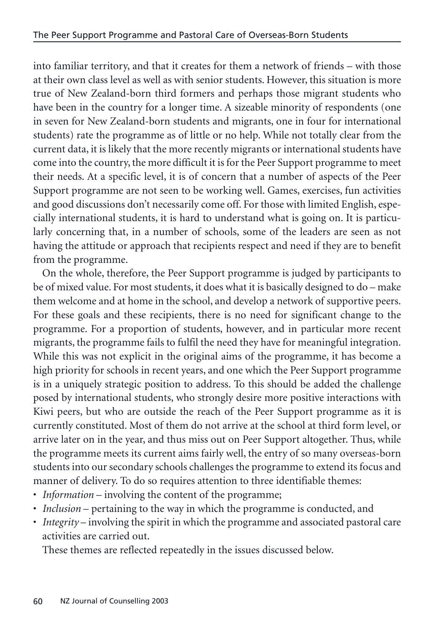into familiar territory, and that it creates for them a network of friends – with those at their own class level as well as with senior students. However, this situation is more true of New Zealand-born third formers and perhaps those migrant students who have been in the country for a longer time. A sizeable minority of respondents (one in seven for New Zealand-born students and migrants, one in four for international students) rate the programme as of little or no help. While not totally clear from the current data, it is likely that the more recently migrants or international students have come into the country, the more difficult it is for the Peer Support programme to meet their needs. At a specific level, it is of concern that a number of aspects of the Peer Support programme are not seen to be working well. Games, exercises, fun activities and good discussions don't necessarily come off. For those with limited English, especially international students, it is hard to understand what is going on. It is particularly concerning that, in a number of schools, some of the leaders are seen as not having the attitude or approach that recipients respect and need if they are to benefit from the programme.

On the whole, therefore, the Peer Support programme is judged by participants to be of mixed value. For most students, it does what it is basically designed to do – make them welcome and at home in the school, and develop a network of supportive peers. For these goals and these recipients, there is no need for significant change to the programme. For a proportion of students, however, and in particular more recent migrants, the programme fails to fulfil the need they have for meaningful integration. While this was not explicit in the original aims of the programme, it has become a high priority for schools in recent years, and one which the Peer Support programme is in a uniquely strategic position to address. To this should be added the challenge posed by international students, who strongly desire more positive interactions with Kiwi peers, but who are outside the reach of the Peer Support programme as it is currently constituted. Most of them do not arrive at the school at third form level, or arrive later on in the year, and thus miss out on Peer Support altogether. Thus, while the programme meets its current aims fairly well, the entry of so many overseas-born students into our secondary schools challenges the programme to extend its focus and manner of delivery. To do so requires attention to three identifiable themes:

- *Information* involving the content of the programme;
- *Inclusion* pertaining to the way in which the programme is conducted, and
- *Integrity* involving the spirit in which the programme and associated pastoral care activities are carried out.

These themes are reflected repeatedly in the issues discussed below.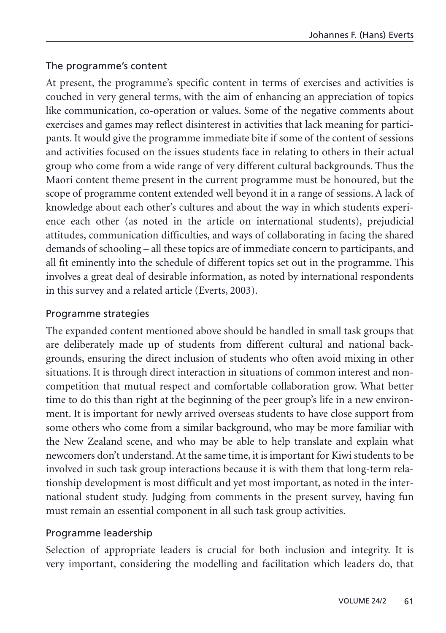### The programme's content

At present, the programme's specific content in terms of exercises and activities is couched in very general terms, with the aim of enhancing an appreciation of topics like communication, co-operation or values. Some of the negative comments about exercises and games may reflect disinterest in activities that lack meaning for participants. It would give the programme immediate bite if some of the content of sessions and activities focused on the issues students face in relating to others in their actual group who come from a wide range of very different cultural backgrounds. Thus the Maori content theme present in the current programme must be honoured, but the scope of programme content extended well beyond it in a range of sessions. A lack of knowledge about each other's cultures and about the way in which students experience each other (as noted in the article on international students), prejudicial attitudes, communication difficulties, and ways of collaborating in facing the shared demands of schooling – all these topics are of immediate concern to participants, and all fit eminently into the schedule of different topics set out in the programme. This involves a great deal of desirable information, as noted by international respondents in this survey and a related article (Everts, 2003).

### Programme strategies

The expanded content mentioned above should be handled in small task groups that are deliberately made up of students from different cultural and national backgrounds, ensuring the direct inclusion of students who often avoid mixing in other situations. It is through direct interaction in situations of common interest and noncompetition that mutual respect and comfortable collaboration grow. What better time to do this than right at the beginning of the peer group's life in a new environment. It is important for newly arrived overseas students to have close support from some others who come from a similar background, who may be more familiar with the New Zealand scene, and who may be able to help translate and explain what newcomers don't understand. At the same time, it is important for Kiwi students to be involved in such task group interactions because it is with them that long-term relationship development is most difficult and yet most important, as noted in the international student study. Judging from comments in the present survey, having fun must remain an essential component in all such task group activities.

#### Programme leadership

Selection of appropriate leaders is crucial for both inclusion and integrity. It is very important, considering the modelling and facilitation which leaders do, that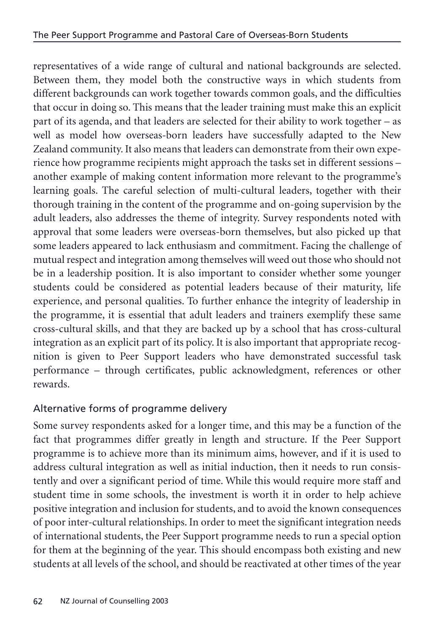representatives of a wide range of cultural and national backgrounds are selected. Between them, they model both the constructive ways in which students from different backgrounds can work together towards common goals, and the difficulties that occur in doing so. This means that the leader training must make this an explicit part of its agenda, and that leaders are selected for their ability to work together – as well as model how overseas-born leaders have successfully adapted to the New Zealand community. It also means that leaders can demonstrate from their own experience how programme recipients might approach the tasks set in different sessions – another example of making content information more relevant to the programme's learning goals. The careful selection of multi-cultural leaders, together with their thorough training in the content of the programme and on-going supervision by the adult leaders, also addresses the theme of integrity. Survey respondents noted with approval that some leaders were overseas-born themselves, but also picked up that some leaders appeared to lack enthusiasm and commitment. Facing the challenge of mutual respect and integration among themselves will weed out those who should not be in a leadership position. It is also important to consider whether some younger students could be considered as potential leaders because of their maturity, life experience, and personal qualities. To further enhance the integrity of leadership in the programme, it is essential that adult leaders and trainers exemplify these same cross-cultural skills, and that they are backed up by a school that has cross-cultural integration as an explicit part of its policy. It is also important that appropriate recognition is given to Peer Support leaders who have demonstrated successful task performance – through certificates, public acknowledgment, references or other rewards.

# Alternative forms of programme delivery

Some survey respondents asked for a longer time, and this may be a function of the fact that programmes differ greatly in length and structure. If the Peer Support programme is to achieve more than its minimum aims, however, and if it is used to address cultural integration as well as initial induction, then it needs to run consistently and over a significant period of time. While this would require more staff and student time in some schools, the investment is worth it in order to help achieve positive integration and inclusion for students, and to avoid the known consequences of poor inter-cultural relationships. In order to meet the significant integration needs of international students, the Peer Support programme needs to run a special option for them at the beginning of the year. This should encompass both existing and new students at all levels of the school, and should be reactivated at other times of the year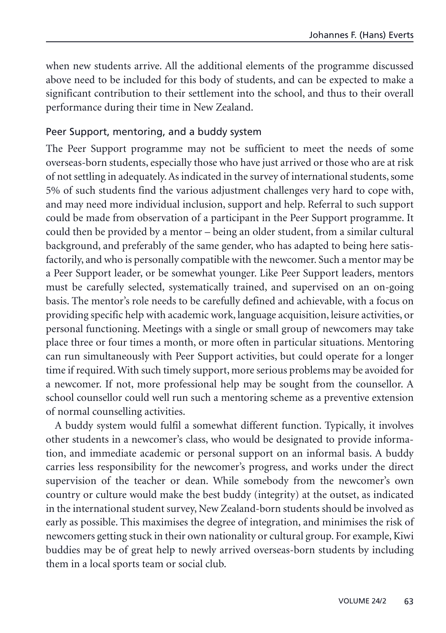when new students arrive. All the additional elements of the programme discussed above need to be included for this body of students, and can be expected to make a significant contribution to their settlement into the school, and thus to their overall performance during their time in New Zealand.

#### Peer Support, mentoring, and a buddy system

The Peer Support programme may not be sufficient to meet the needs of some overseas-born students, especially those who have just arrived or those who are at risk of not settling in adequately. As indicated in the survey of international students, some 5% of such students find the various adjustment challenges very hard to cope with, and may need more individual inclusion, support and help. Referral to such support could be made from observation of a participant in the Peer Support programme. It could then be provided by a mentor – being an older student, from a similar cultural background, and preferably of the same gender, who has adapted to being here satisfactorily, and who is personally compatible with the newcomer. Such a mentor may be a Peer Support leader, or be somewhat younger. Like Peer Support leaders, mentors must be carefully selected, systematically trained, and supervised on an on-going basis. The mentor's role needs to be carefully defined and achievable, with a focus on providing specific help with academic work, language acquisition, leisure activities, or personal functioning. Meetings with a single or small group of newcomers may take place three or four times a month, or more often in particular situations. Mentoring can run simultaneously with Peer Support activities, but could operate for a longer time if required. With such timely support, more serious problems may be avoided for a newcomer. If not, more professional help may be sought from the counsellor. A school counsellor could well run such a mentoring scheme as a preventive extension of normal counselling activities.

A buddy system would fulfil a somewhat different function. Typically, it involves other students in a newcomer's class, who would be designated to provide information, and immediate academic or personal support on an informal basis. A buddy carries less responsibility for the newcomer's progress, and works under the direct supervision of the teacher or dean. While somebody from the newcomer's own country or culture would make the best buddy (integrity) at the outset, as indicated in the international student survey, New Zealand-born students should be involved as early as possible. This maximises the degree of integration, and minimises the risk of newcomers getting stuck in their own nationality or cultural group. For example, Kiwi buddies may be of great help to newly arrived overseas-born students by including them in a local sports team or social club.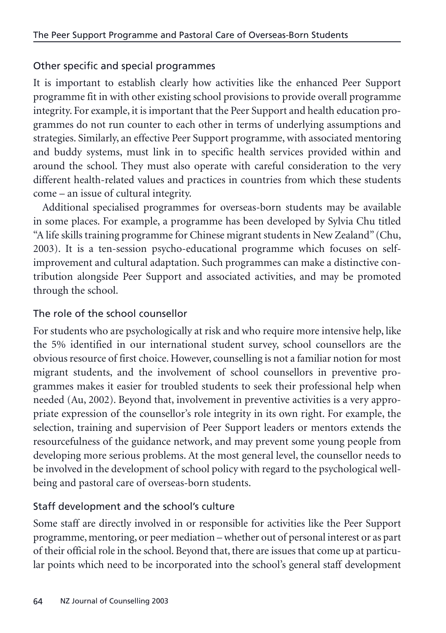# Other specific and special programmes

It is important to establish clearly how activities like the enhanced Peer Support programme fit in with other existing school provisions to provide overall programme integrity. For example, it is important that the Peer Support and health education programmes do not run counter to each other in terms of underlying assumptions and strategies. Similarly, an effective Peer Support programme, with associated mentoring and buddy systems, must link in to specific health services provided within and around the school. They must also operate with careful consideration to the very different health-related values and practices in countries from which these students come – an issue of cultural integrity.

Additional specialised programmes for overseas-born students may be available in some places. For example, a programme has been developed by Sylvia Chu titled "A life skills training programme for Chinese migrant students in New Zealand" (Chu, 2003). It is a ten-session psycho-educational programme which focuses on selfimprovement and cultural adaptation. Such programmes can make a distinctive contribution alongside Peer Support and associated activities, and may be promoted through the school.

# The role of the school counsellor

For students who are psychologically at risk and who require more intensive help, like the 5% identified in our international student survey, school counsellors are the obvious resource of first choice. However, counselling is not a familiar notion for most migrant students, and the involvement of school counsellors in preventive programmes makes it easier for troubled students to seek their professional help when needed (Au, 2002). Beyond that, involvement in preventive activities is a very appropriate expression of the counsellor's role integrity in its own right. For example, the selection, training and supervision of Peer Support leaders or mentors extends the resourcefulness of the guidance network, and may prevent some young people from developing more serious problems. At the most general level, the counsellor needs to be involved in the development of school policy with regard to the psychological wellbeing and pastoral care of overseas-born students.

# Staff development and the school's culture

Some staff are directly involved in or responsible for activities like the Peer Support programme, mentoring, or peer mediation – whether out of personal interest or as part of their official role in the school. Beyond that, there are issues that come up at particular points which need to be incorporated into the school's general staff development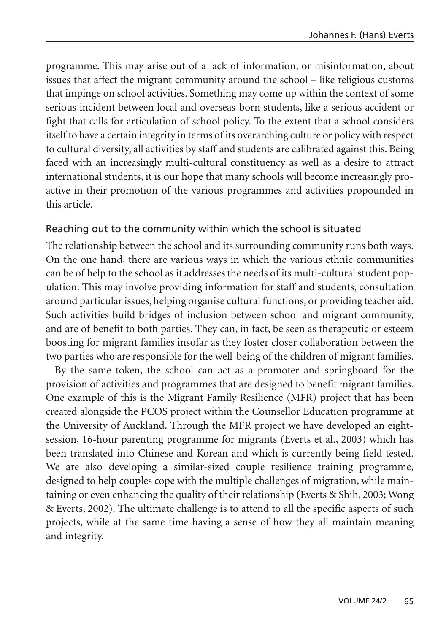programme. This may arise out of a lack of information, or misinformation, about issues that affect the migrant community around the school – like religious customs that impinge on school activities. Something may come up within the context of some serious incident between local and overseas-born students, like a serious accident or fight that calls for articulation of school policy. To the extent that a school considers itself to have a certain integrity in terms of its overarching culture or policy with respect to cultural diversity, all activities by staff and students are calibrated against this. Being faced with an increasingly multi-cultural constituency as well as a desire to attract international students, it is our hope that many schools will become increasingly proactive in their promotion of the various programmes and activities propounded in this article.

#### Reaching out to the community within which the school is situated

The relationship between the school and its surrounding community runs both ways. On the one hand, there are various ways in which the various ethnic communities can be of help to the school as it addresses the needs of its multi-cultural student population. This may involve providing information for staff and students, consultation around particular issues, helping organise cultural functions, or providing teacher aid. Such activities build bridges of inclusion between school and migrant community, and are of benefit to both parties. They can, in fact, be seen as therapeutic or esteem boosting for migrant families insofar as they foster closer collaboration between the two parties who are responsible for the well-being of the children of migrant families.

By the same token, the school can act as a promoter and springboard for the provision of activities and programmes that are designed to benefit migrant families. One example of this is the Migrant Family Resilience (MFR) project that has been created alongside the PCOS project within the Counsellor Education programme at the University of Auckland. Through the MFR project we have developed an eightsession, 16-hour parenting programme for migrants (Everts et al., 2003) which has been translated into Chinese and Korean and which is currently being field tested. We are also developing a similar-sized couple resilience training programme, designed to help couples cope with the multiple challenges of migration, while maintaining or even enhancing the quality of their relationship (Everts & Shih, 2003; Wong & Everts, 2002). The ultimate challenge is to attend to all the specific aspects of such projects, while at the same time having a sense of how they all maintain meaning and integrity.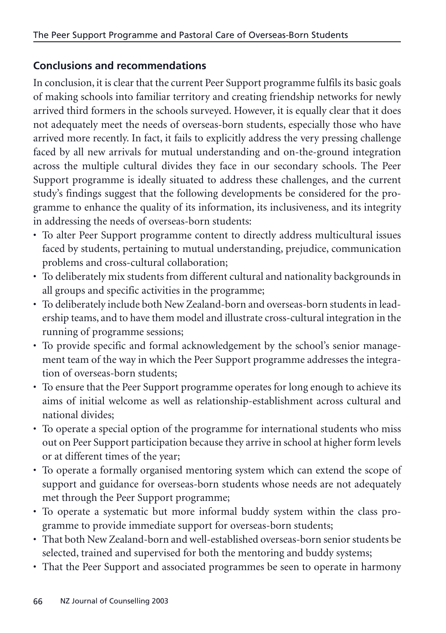# **Conclusions and recommendations**

In conclusion, it is clear that the current Peer Support programme fulfils its basic goals of making schools into familiar territory and creating friendship networks for newly arrived third formers in the schools surveyed. However, it is equally clear that it does not adequately meet the needs of overseas-born students, especially those who have arrived more recently. In fact, it fails to explicitly address the very pressing challenge faced by all new arrivals for mutual understanding and on-the-ground integration across the multiple cultural divides they face in our secondary schools. The Peer Support programme is ideally situated to address these challenges, and the current study's findings suggest that the following developments be considered for the programme to enhance the quality of its information, its inclusiveness, and its integrity in addressing the needs of overseas-born students:

- To alter Peer Support programme content to directly address multicultural issues faced by students, pertaining to mutual understanding, prejudice, communication problems and cross-cultural collaboration;
- To deliberately mix students from different cultural and nationality backgrounds in all groups and specific activities in the programme;
- To deliberately include both New Zealand-born and overseas-born students in leadership teams, and to have them model and illustrate cross-cultural integration in the running of programme sessions;
- To provide specific and formal acknowledgement by the school's senior management team of the way in which the Peer Support programme addresses the integration of overseas-born students;
- To ensure that the Peer Support programme operates for long enough to achieve its aims of initial welcome as well as relationship-establishment across cultural and national divides;
- To operate a special option of the programme for international students who miss out on Peer Support participation because they arrive in school at higher form levels or at different times of the year;
- To operate a formally organised mentoring system which can extend the scope of support and guidance for overseas-born students whose needs are not adequately met through the Peer Support programme;
- To operate a systematic but more informal buddy system within the class programme to provide immediate support for overseas-born students;
- That both New Zealand-born and well-established overseas-born senior students be selected, trained and supervised for both the mentoring and buddy systems;
- That the Peer Support and associated programmes be seen to operate in harmony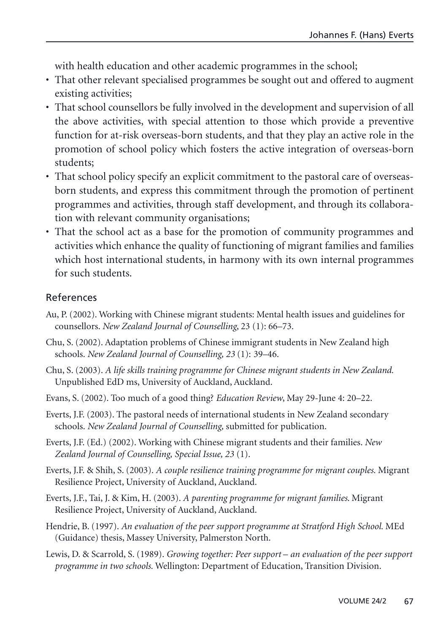with health education and other academic programmes in the school;

- That other relevant specialised programmes be sought out and offered to augment existing activities;
- That school counsellors be fully involved in the development and supervision of all the above activities, with special attention to those which provide a preventive function for at-risk overseas-born students, and that they play an active role in the promotion of school policy which fosters the active integration of overseas-born students;
- That school policy specify an explicit commitment to the pastoral care of overseasborn students, and express this commitment through the promotion of pertinent programmes and activities, through staff development, and through its collaboration with relevant community organisations;
- That the school act as a base for the promotion of community programmes and activities which enhance the quality of functioning of migrant families and families which host international students, in harmony with its own internal programmes for such students.

#### References

- Au, P. (2002). Working with Chinese migrant students: Mental health issues and guidelines for counsellors. *New Zealand Journal of Counselling*, 23 (1): 66–73.
- Chu, S. (2002). Adaptation problems of Chinese immigrant students in New Zealand high schools. *New Zealand Journal of Counselling, 23* (1): 39–46.
- Chu, S. (2003). *A life skills training programme for Chinese migrant students in New Zealand.* Unpublished EdD ms, University of Auckland, Auckland.
- Evans, S. (2002). Too much of a good thing? *Education Review*, May 29-June 4: 20–22.
- Everts, J.F. (2003). The pastoral needs of international students in New Zealand secondary schools. *New Zealand Journal of Counselling,* submitted for publication.
- Everts, J.F. (Ed.) (2002). Working with Chinese migrant students and their families. *New Zealand Journal of Counselling, Special Issue, 23* (1).
- Everts, J.F. & Shih, S. (2003). *A couple resilience training programme for migrant couples.* Migrant Resilience Project, University of Auckland, Auckland.
- Everts, J.F., Tai, J. & Kim, H. (2003). *A parenting programme for migrant families*. Migrant Resilience Project, University of Auckland, Auckland.
- Hendrie, B. (1997). *An evaluation of the peer support programme at Stratford High School.* MEd (Guidance) thesis, Massey University, Palmerston North.
- Lewis, D. & Scarrold, S. (1989). *Growing together: Peer support an evaluation of the peer support programme in two schools.* Wellington: Department of Education, Transition Division.